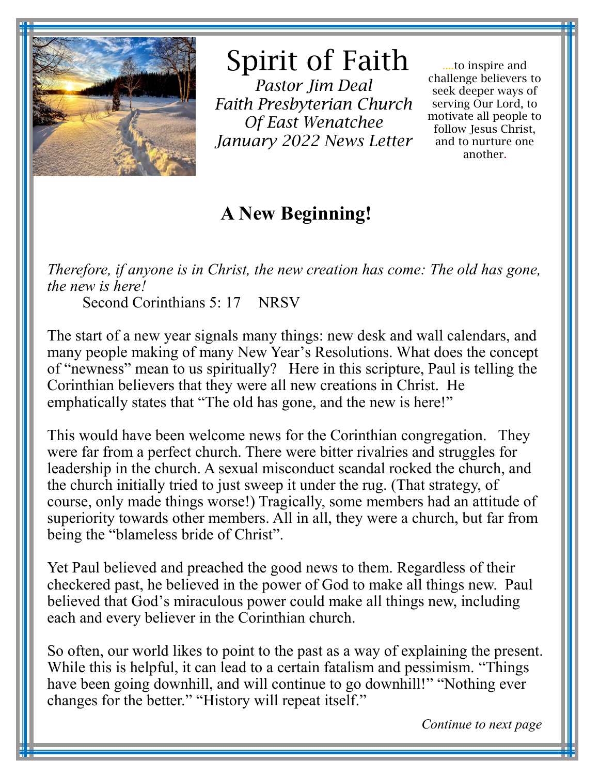

# Spirit of Faith

*Pastor Jim Deal Faith Presbyterian Church Of East Wenatchee January 2022 News Letter* 

....to inspire and challenge believers to seek deeper ways of serving Our Lord, to motivate all people to follow Jesus Christ, and to nurture one another.

## **A New Beginning!**

*Therefore, if anyone is in Christ, the new creation has come: The old has gone, the new is here!*

Second Corinthians 5: 17 NRSV

The start of a new year signals many things: new desk and wall calendars, and many people making of many New Year's Resolutions. What does the concept of "newness" mean to us spiritually? Here in this scripture, Paul is telling the Corinthian believers that they were all new creations in Christ. He emphatically states that "The old has gone, and the new is here!"

This would have been welcome news for the Corinthian congregation. They were far from a perfect church. There were bitter rivalries and struggles for leadership in the church. A sexual misconduct scandal rocked the church, and the church initially tried to just sweep it under the rug. (That strategy, of course, only made things worse!) Tragically, some members had an attitude of superiority towards other members. All in all, they were a church, but far from being the "blameless bride of Christ".

Yet Paul believed and preached the good news to them. Regardless of their checkered past, he believed in the power of God to make all things new. Paul believed that God's miraculous power could make all things new, including each and every believer in the Corinthian church.

So often, our world likes to point to the past as a way of explaining the present. While this is helpful, it can lead to a certain fatalism and pessimism. "Things have been going downhill, and will continue to go downhill!" "Nothing ever" changes for the better." "History will repeat itself."

*Continue to next page*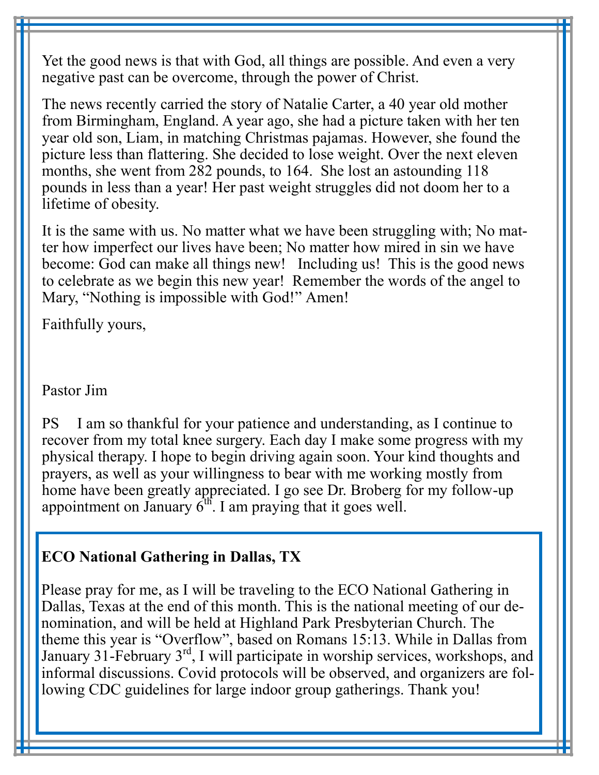Yet the good news is that with God, all things are possible. And even a very negative past can be overcome, through the power of Christ.

The news recently carried the story of Natalie Carter, a 40 year old mother from Birmingham, England. A year ago, she had a picture taken with her ten year old son, Liam, in matching Christmas pajamas. However, she found the picture less than flattering. She decided to lose weight. Over the next eleven months, she went from 282 pounds, to 164. She lost an astounding 118 pounds in less than a year! Her past weight struggles did not doom her to a lifetime of obesity.

It is the same with us. No matter what we have been struggling with; No matter how imperfect our lives have been; No matter how mired in sin we have become: God can make all things new! Including us! This is the good news to celebrate as we begin this new year! Remember the words of the angel to Mary, "Nothing is impossible with God!" Amen!

Faithfully yours,

Pastor Jim

PS I am so thankful for your patience and understanding, as I continue to recover from my total knee surgery. Each day I make some progress with my physical therapy. I hope to begin driving again soon. Your kind thoughts and prayers, as well as your willingness to bear with me working mostly from home have been greatly appreciated. I go see Dr. Broberg for my follow-up appointment on January  $6<sup>th</sup>$ . I am praying that it goes well.

#### **ECO National Gathering in Dallas, TX**

Please pray for me, as I will be traveling to the ECO National Gathering in Dallas, Texas at the end of this month. This is the national meeting of our denomination, and will be held at Highland Park Presbyterian Church. The theme this year is "Overflow", based on Romans 15:13. While in Dallas from January 31-February  $3<sup>rd</sup>$ , I will participate in worship services, workshops, and informal discussions. Covid protocols will be observed, and organizers are following CDC guidelines for large indoor group gatherings. Thank you!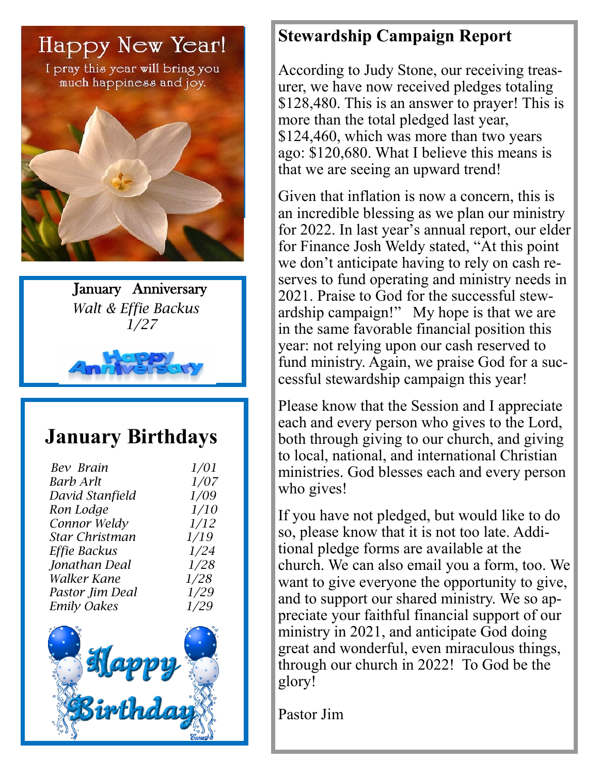

I pray this year will bring you much happiness and joy.







## **January Birthdays**

| Bev Brain             | 1/01        |
|-----------------------|-------------|
| <b>Barb Arlt</b>      | <i>1/07</i> |
| David Stanfield       | 1/09        |
| Ron Lodge             | 1/10        |
| Connor Weldy          | 1/12        |
| <b>Star Christman</b> | 1/19        |
| Effie Backus          | 1/24        |
| Jonathan Deal         | 1/28        |
| Walker Kane           | 1/28        |
| Pastor Jim Deal       | 1/29        |
| <b>Emily Oakes</b>    | 1/29        |
| Happ                  |             |
| <b>Sirthdo</b>        |             |

### **Stewardship Campaign Report**

According to Judy Stone, our receiving treasurer, we have now received pledges totaling \$128,480. This is an answer to prayer! This is more than the total pledged last year, \$124,460, which was more than two years ago: \$120,680. What I believe this means is that we are seeing an upward trend!

Given that inflation is now a concern, this is an incredible blessing as we plan our ministry for 2022. In last year's annual report, our elder for Finance Josh Weldy stated, "At this point we don't anticipate having to rely on cash reserves to fund operating and ministry needs in 2021. Praise to God for the successful stewardship campaign!" My hope is that we are in the same favorable financial position this year: not relying upon our cash reserved to fund ministry. Again, we praise God for a successful stewardship campaign this year!

Please know that the Session and I appreciate each and every person who gives to the Lord, both through giving to our church, and giving to local, national, and international Christian ministries. God blesses each and every person who gives!

If you have not pledged, but would like to do so, please know that it is not too late. Additional pledge forms are available at the church. We can also email you a form, too. We want to give everyone the opportunity to give, and to support our shared ministry. We so appreciate your faithful financial support of our ministry in 2021, and anticipate God doing great and wonderful, even miraculous things, through our church in 2022! To God be the glory!

Pastor Jim